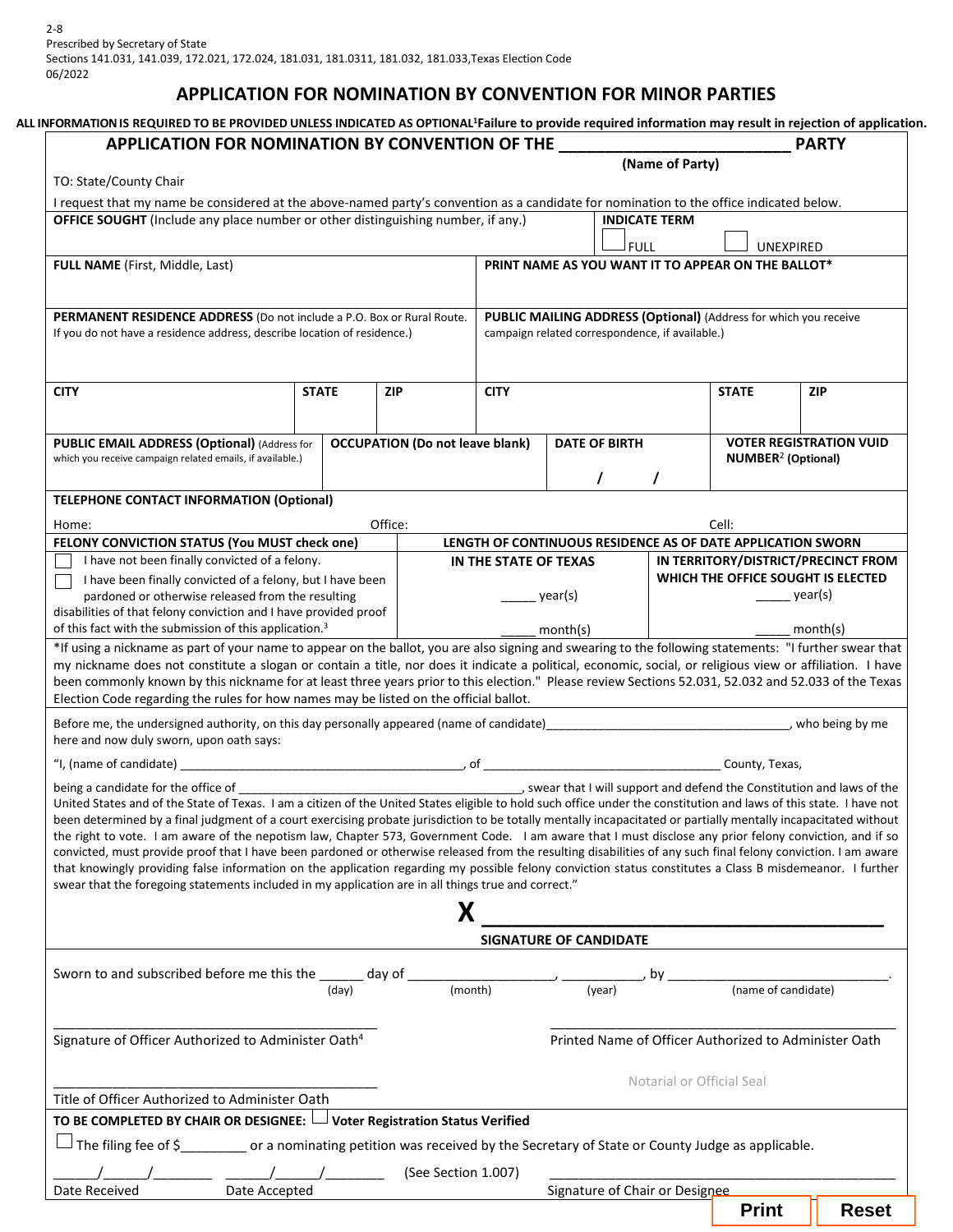## **APPLICATION FOR NOMINATION BY CONVENTION FOR MINOR PARTIES**

| APPLICATION FOR NOMINATION BY CONVENTION OF THE                                                                                                                                                                                                                                                                                                                                                                                                                                                                                                                                                                                                                                                                                                                                                                                                                                                                                                                                                          |              |                                        |                       |                                                                                                                     |                                                                                                |              | <b>PARTY</b>                                          |
|----------------------------------------------------------------------------------------------------------------------------------------------------------------------------------------------------------------------------------------------------------------------------------------------------------------------------------------------------------------------------------------------------------------------------------------------------------------------------------------------------------------------------------------------------------------------------------------------------------------------------------------------------------------------------------------------------------------------------------------------------------------------------------------------------------------------------------------------------------------------------------------------------------------------------------------------------------------------------------------------------------|--------------|----------------------------------------|-----------------------|---------------------------------------------------------------------------------------------------------------------|------------------------------------------------------------------------------------------------|--------------|-------------------------------------------------------|
|                                                                                                                                                                                                                                                                                                                                                                                                                                                                                                                                                                                                                                                                                                                                                                                                                                                                                                                                                                                                          |              |                                        |                       |                                                                                                                     | (Name of Party)                                                                                |              |                                                       |
| TO: State/County Chair                                                                                                                                                                                                                                                                                                                                                                                                                                                                                                                                                                                                                                                                                                                                                                                                                                                                                                                                                                                   |              |                                        |                       |                                                                                                                     |                                                                                                |              |                                                       |
| I request that my name be considered at the above-named party's convention as a candidate for nomination to the office indicated below.<br>OFFICE SOUGHT (Include any place number or other distinguishing number, if any.)                                                                                                                                                                                                                                                                                                                                                                                                                                                                                                                                                                                                                                                                                                                                                                              |              |                                        |                       |                                                                                                                     | <b>INDICATE TERM</b>                                                                           |              |                                                       |
|                                                                                                                                                                                                                                                                                                                                                                                                                                                                                                                                                                                                                                                                                                                                                                                                                                                                                                                                                                                                          |              |                                        |                       | J FULL                                                                                                              |                                                                                                |              | UNEXPIRED                                             |
| FULL NAME (First, Middle, Last)                                                                                                                                                                                                                                                                                                                                                                                                                                                                                                                                                                                                                                                                                                                                                                                                                                                                                                                                                                          |              |                                        |                       | PRINT NAME AS YOU WANT IT TO APPEAR ON THE BALLOT*                                                                  |                                                                                                |              |                                                       |
|                                                                                                                                                                                                                                                                                                                                                                                                                                                                                                                                                                                                                                                                                                                                                                                                                                                                                                                                                                                                          |              |                                        |                       |                                                                                                                     |                                                                                                |              |                                                       |
| PERMANENT RESIDENCE ADDRESS (Do not include a P.O. Box or Rural Route.<br>If you do not have a residence address, describe location of residence.)                                                                                                                                                                                                                                                                                                                                                                                                                                                                                                                                                                                                                                                                                                                                                                                                                                                       |              |                                        |                       | PUBLIC MAILING ADDRESS (Optional) (Address for which you receive<br>campaign related correspondence, if available.) |                                                                                                |              |                                                       |
| <b>CITY</b>                                                                                                                                                                                                                                                                                                                                                                                                                                                                                                                                                                                                                                                                                                                                                                                                                                                                                                                                                                                              | <b>STATE</b> | <b>ZIP</b>                             | <b>CITY</b>           |                                                                                                                     |                                                                                                | <b>STATE</b> | <b>ZIP</b>                                            |
|                                                                                                                                                                                                                                                                                                                                                                                                                                                                                                                                                                                                                                                                                                                                                                                                                                                                                                                                                                                                          |              |                                        |                       |                                                                                                                     |                                                                                                |              |                                                       |
| <b>PUBLIC EMAIL ADDRESS (Optional) (Address for</b><br>which you receive campaign related emails, if available.)                                                                                                                                                                                                                                                                                                                                                                                                                                                                                                                                                                                                                                                                                                                                                                                                                                                                                         |              | <b>OCCUPATION (Do not leave blank)</b> |                       |                                                                                                                     | <b>DATE OF BIRTH</b><br><b>VOTER REGISTRATION VUID</b><br><b>NUMBER<sup>2</sup></b> (Optional) |              |                                                       |
|                                                                                                                                                                                                                                                                                                                                                                                                                                                                                                                                                                                                                                                                                                                                                                                                                                                                                                                                                                                                          |              |                                        |                       | $\prime$                                                                                                            | $\prime$                                                                                       |              |                                                       |
| <b>TELEPHONE CONTACT INFORMATION (Optional)</b>                                                                                                                                                                                                                                                                                                                                                                                                                                                                                                                                                                                                                                                                                                                                                                                                                                                                                                                                                          |              |                                        |                       |                                                                                                                     |                                                                                                |              |                                                       |
|                                                                                                                                                                                                                                                                                                                                                                                                                                                                                                                                                                                                                                                                                                                                                                                                                                                                                                                                                                                                          |              | Office:                                |                       |                                                                                                                     |                                                                                                | Cell:        |                                                       |
| Home:<br>FELONY CONVICTION STATUS (You MUST check one)                                                                                                                                                                                                                                                                                                                                                                                                                                                                                                                                                                                                                                                                                                                                                                                                                                                                                                                                                   |              |                                        |                       | LENGTH OF CONTINUOUS RESIDENCE AS OF DATE APPLICATION SWORN                                                         |                                                                                                |              |                                                       |
| I have not been finally convicted of a felony.                                                                                                                                                                                                                                                                                                                                                                                                                                                                                                                                                                                                                                                                                                                                                                                                                                                                                                                                                           |              |                                        | IN THE STATE OF TEXAS |                                                                                                                     |                                                                                                |              | IN TERRITORY/DISTRICT/PRECINCT FROM                   |
| I have been finally convicted of a felony, but I have been                                                                                                                                                                                                                                                                                                                                                                                                                                                                                                                                                                                                                                                                                                                                                                                                                                                                                                                                               |              |                                        |                       |                                                                                                                     |                                                                                                |              | WHICH THE OFFICE SOUGHT IS ELECTED                    |
| pardoned or otherwise released from the resulting                                                                                                                                                                                                                                                                                                                                                                                                                                                                                                                                                                                                                                                                                                                                                                                                                                                                                                                                                        |              |                                        |                       | year(s)                                                                                                             |                                                                                                |              | $\rangle$ year(s)                                     |
| disabilities of that felony conviction and I have provided proof                                                                                                                                                                                                                                                                                                                                                                                                                                                                                                                                                                                                                                                                                                                                                                                                                                                                                                                                         |              |                                        |                       |                                                                                                                     |                                                                                                |              |                                                       |
|                                                                                                                                                                                                                                                                                                                                                                                                                                                                                                                                                                                                                                                                                                                                                                                                                                                                                                                                                                                                          |              |                                        |                       |                                                                                                                     |                                                                                                |              |                                                       |
|                                                                                                                                                                                                                                                                                                                                                                                                                                                                                                                                                                                                                                                                                                                                                                                                                                                                                                                                                                                                          |              |                                        |                       | month(s)                                                                                                            |                                                                                                |              | month(s)                                              |
|                                                                                                                                                                                                                                                                                                                                                                                                                                                                                                                                                                                                                                                                                                                                                                                                                                                                                                                                                                                                          |              |                                        |                       |                                                                                                                     |                                                                                                |              |                                                       |
|                                                                                                                                                                                                                                                                                                                                                                                                                                                                                                                                                                                                                                                                                                                                                                                                                                                                                                                                                                                                          |              |                                        |                       |                                                                                                                     |                                                                                                |              |                                                       |
| of this fact with the submission of this application. <sup>3</sup><br>*If using a nickname as part of your name to appear on the ballot, you are also signing and swearing to the following statements: "I further swear that<br>my nickname does not constitute a slogan or contain a title, nor does it indicate a political, economic, social, or religious view or affiliation. I have<br>been commonly known by this nickname for at least three years prior to this election." Please review Sections 52.031, 52.032 and 52.033 of the Texas<br>Election Code regarding the rules for how names may be listed on the official ballot.<br>Before me, the undersigned authority, on this day personally appeared (name of candidate)<br>Laterally examples and the management and the understanding of the university who being by me<br>here and now duly sworn, upon oath says:                                                                                                                    |              |                                        |                       |                                                                                                                     |                                                                                                |              |                                                       |
|                                                                                                                                                                                                                                                                                                                                                                                                                                                                                                                                                                                                                                                                                                                                                                                                                                                                                                                                                                                                          |              |                                        |                       |                                                                                                                     |                                                                                                |              |                                                       |
|                                                                                                                                                                                                                                                                                                                                                                                                                                                                                                                                                                                                                                                                                                                                                                                                                                                                                                                                                                                                          |              |                                        |                       |                                                                                                                     |                                                                                                |              |                                                       |
|                                                                                                                                                                                                                                                                                                                                                                                                                                                                                                                                                                                                                                                                                                                                                                                                                                                                                                                                                                                                          |              |                                        |                       | SIGNATURE OF CANDIDATE                                                                                              |                                                                                                |              |                                                       |
| United States and of the State of Texas. I am a citizen of the United States eligible to hold such office under the constitution and laws of this state. I have not<br>been determined by a final judgment of a court exercising probate jurisdiction to be totally mentally incapacitated or partially mentally incapacitated without<br>the right to vote. I am aware of the nepotism law, Chapter 573, Government Code. I am aware that I must disclose any prior felony conviction, and if so<br>convicted, must provide proof that I have been pardoned or otherwise released from the resulting disabilities of any such final felony conviction. I am aware<br>that knowingly providing false information on the application regarding my possible felony conviction status constitutes a Class B misdemeanor. I further<br>swear that the foregoing statements included in my application are in all things true and correct."<br>Sworn to and subscribed before me this the ______ day of _____ |              |                                        |                       |                                                                                                                     |                                                                                                |              |                                                       |
|                                                                                                                                                                                                                                                                                                                                                                                                                                                                                                                                                                                                                                                                                                                                                                                                                                                                                                                                                                                                          | (day)        |                                        |                       | $\frac{1}{(month)}$ $\frac{1}{(year)}$ $by$ $\frac{1}{(name of candidate)}$                                         |                                                                                                |              |                                                       |
| Signature of Officer Authorized to Administer Oath <sup>4</sup>                                                                                                                                                                                                                                                                                                                                                                                                                                                                                                                                                                                                                                                                                                                                                                                                                                                                                                                                          |              |                                        |                       |                                                                                                                     |                                                                                                |              | Printed Name of Officer Authorized to Administer Oath |
|                                                                                                                                                                                                                                                                                                                                                                                                                                                                                                                                                                                                                                                                                                                                                                                                                                                                                                                                                                                                          |              |                                        |                       |                                                                                                                     |                                                                                                |              |                                                       |
|                                                                                                                                                                                                                                                                                                                                                                                                                                                                                                                                                                                                                                                                                                                                                                                                                                                                                                                                                                                                          |              |                                        |                       |                                                                                                                     | Notarial or Official Seal                                                                      |              |                                                       |
| Title of Officer Authorized to Administer Oath                                                                                                                                                                                                                                                                                                                                                                                                                                                                                                                                                                                                                                                                                                                                                                                                                                                                                                                                                           |              |                                        |                       |                                                                                                                     |                                                                                                |              |                                                       |
| TO BE COMPLETED BY CHAIR OR DESIGNEE: U Voter Registration Status Verified<br>The filing fee of \$___________ or a nominating petition was received by the Secretary of State or County Judge as applicable.                                                                                                                                                                                                                                                                                                                                                                                                                                                                                                                                                                                                                                                                                                                                                                                             |              |                                        |                       |                                                                                                                     |                                                                                                |              |                                                       |
|                                                                                                                                                                                                                                                                                                                                                                                                                                                                                                                                                                                                                                                                                                                                                                                                                                                                                                                                                                                                          |              | $\sqrt{$ (See Section 1.007)           |                       |                                                                                                                     |                                                                                                |              |                                                       |

**Print Reset**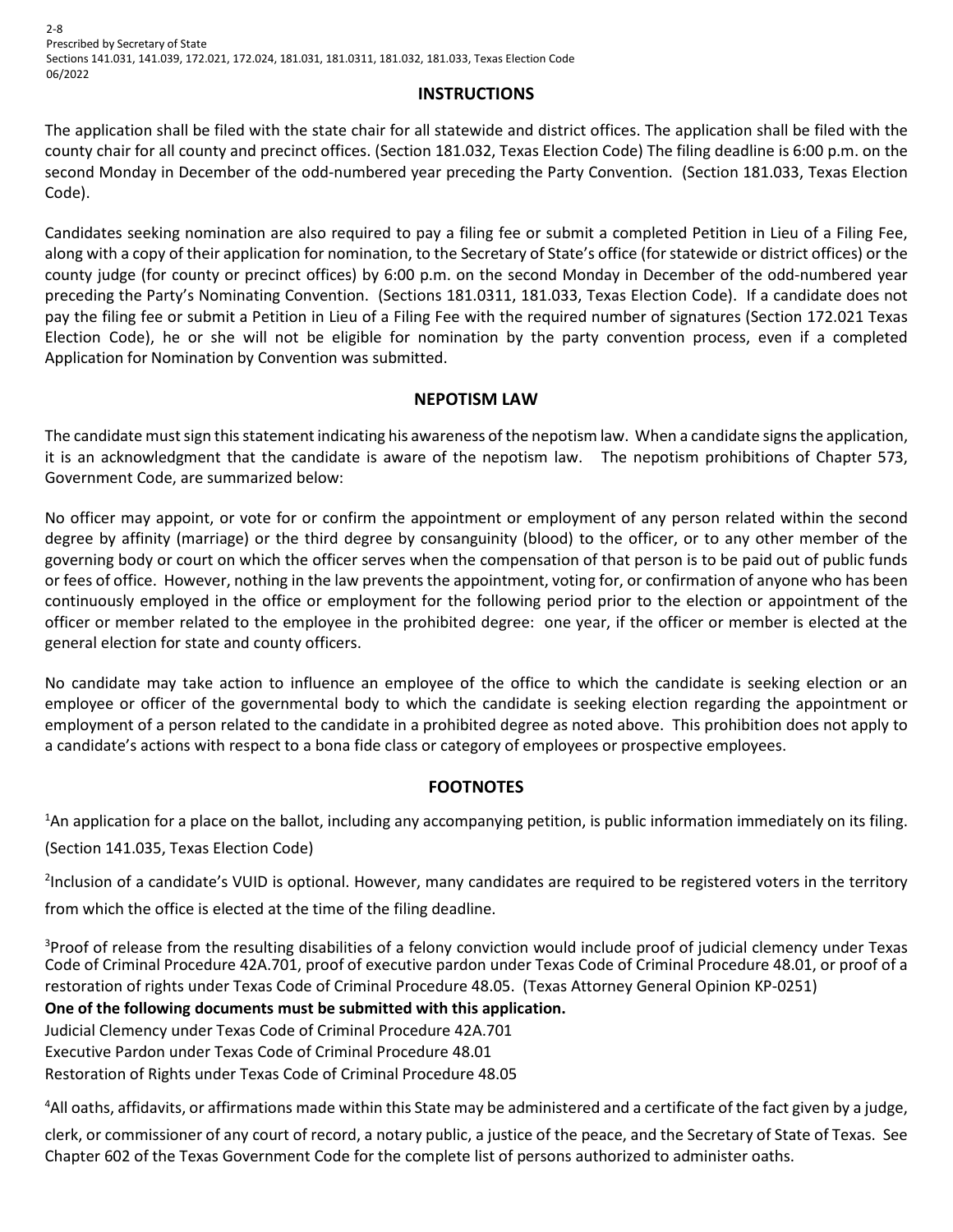2-8 Prescribed by Secretary of State Sections 141.031, 141.039, 172.021, 172.024, 181.031, 181.0311, 181.032, 181.033, Texas Election Code 06/2022

### **INSTRUCTIONS**

The application shall be filed with the state chair for all statewide and district offices. The application shall be filed with the county chair for all county and precinct offices. (Section 181.032, Texas Election Code) The filing deadline is 6:00 p.m. on the second Monday in December of the odd-numbered year preceding the Party Convention. (Section 181.033, Texas Election Code).

Candidates seeking nomination are also required to pay a filing fee or submit a completed Petition in Lieu of a Filing Fee, along with a copy of their application for nomination, to the Secretary of State's office (for statewide or district offices) or the county judge (for county or precinct offices) by 6:00 p.m. on the second Monday in December of the odd-numbered year preceding the Party's Nominating Convention. (Sections 181.0311, 181.033, Texas Election Code). If a candidate does not pay the filing fee or submit a Petition in Lieu of a Filing Fee with the required number of signatures (Section 172.021 Texas Election Code), he or she will not be eligible for nomination by the party convention process, even if a completed Application for Nomination by Convention was submitted.

### **NEPOTISM LAW**

The candidate must sign this statement indicating his awareness of the nepotism law. When a candidate signs the application, it is an acknowledgment that the candidate is aware of the nepotism law. The nepotism prohibitions of Chapter 573, Government Code, are summarized below:

No officer may appoint, or vote for or confirm the appointment or employment of any person related within the second degree by affinity (marriage) or the third degree by consanguinity (blood) to the officer, or to any other member of the governing body or court on which the officer serves when the compensation of that person is to be paid out of public funds or fees of office. However, nothing in the law prevents the appointment, voting for, or confirmation of anyone who has been continuously employed in the office or employment for the following period prior to the election or appointment of the officer or member related to the employee in the prohibited degree: one year, if the officer or member is elected at the general election for state and county officers.

No candidate may take action to influence an employee of the office to which the candidate is seeking election or an employee or officer of the governmental body to which the candidate is seeking election regarding the appointment or employment of a person related to the candidate in a prohibited degree as noted above. This prohibition does not apply to a candidate's actions with respect to a bona fide class or category of employees or prospective employees.

## **FOOTNOTES**

<sup>1</sup>An application for a place on the ballot, including any accompanying petition, is public information immediately on its filing. (Section 141.035, Texas Election Code)

<sup>2</sup>Inclusion of a candidate's VUID is optional. However, many candidates are required to be registered voters in the territory from which the office is elected at the time of the filing deadline.

<sup>3</sup>Proof of release from the resulting disabilities of a felony conviction would include proof of judicial clemency under Texas Code of Criminal Procedure 42A.701, proof of executive pardon under Texas Code of Criminal Procedure 48.01, or proof of a restoration of rights under Texas Code of Criminal Procedure 48.05. (Texas Attorney General Opinion KP-0251)

## **One of the following documents must be submitted with this application.**

Judicial Clemency under Texas Code of Criminal Procedure 42A.701 Executive Pardon under Texas Code of Criminal Procedure 48.01 Restoration of Rights under Texas Code of Criminal Procedure 48.05

<sup>4</sup>All oaths, affidavits, or affirmations made within this State may be administered and a certificate of the fact given by a judge,

clerk, or commissioner of any court of record, a notary public, a justice of the peace, and the Secretary of State of Texas. See Chapter 602 of the Texas Government Code for the complete list of persons authorized to administer oaths.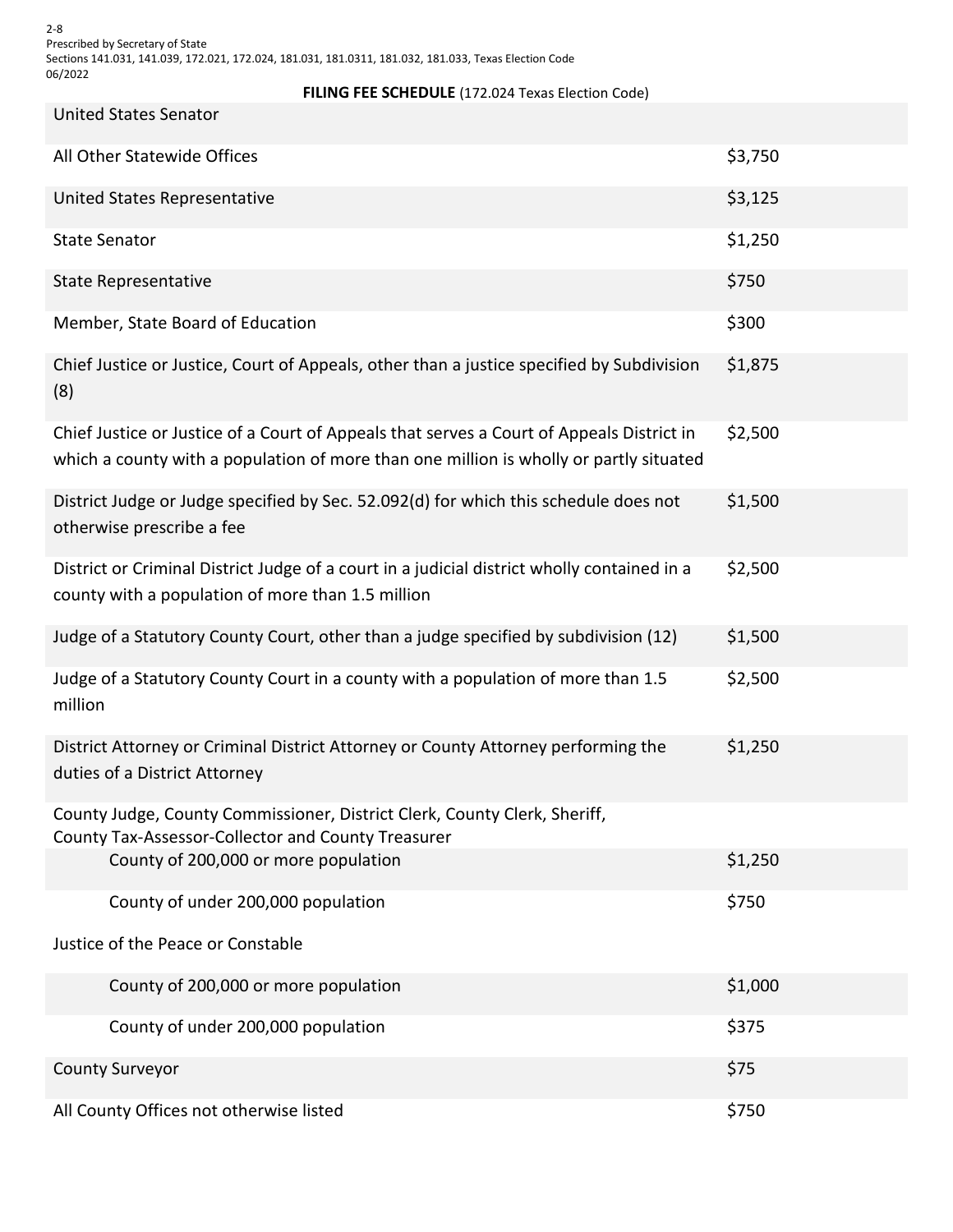2-8 Prescribed by Secretary of State Sections 141.031, 141.039, 172.021, 172.024, 181.031, 181.0311, 181.032, 181.033, Texas Election Code 06/2022

#### **FILING FEE SCHEDULE** (172.024 Texas Election Code)

| United States Senator |
|-----------------------|
|                       |
|                       |

| All Other Statewide Offices                                                                                                                                                         | \$3,750 |
|-------------------------------------------------------------------------------------------------------------------------------------------------------------------------------------|---------|
| United States Representative                                                                                                                                                        | \$3,125 |
| <b>State Senator</b>                                                                                                                                                                | \$1,250 |
| <b>State Representative</b>                                                                                                                                                         | \$750   |
| Member, State Board of Education                                                                                                                                                    | \$300   |
| Chief Justice or Justice, Court of Appeals, other than a justice specified by Subdivision<br>(8)                                                                                    | \$1,875 |
| Chief Justice or Justice of a Court of Appeals that serves a Court of Appeals District in<br>which a county with a population of more than one million is wholly or partly situated | \$2,500 |
| District Judge or Judge specified by Sec. 52.092(d) for which this schedule does not<br>otherwise prescribe a fee                                                                   | \$1,500 |
| District or Criminal District Judge of a court in a judicial district wholly contained in a<br>county with a population of more than 1.5 million                                    | \$2,500 |
| Judge of a Statutory County Court, other than a judge specified by subdivision (12)                                                                                                 | \$1,500 |
| Judge of a Statutory County Court in a county with a population of more than 1.5<br>million                                                                                         | \$2,500 |
| District Attorney or Criminal District Attorney or County Attorney performing the<br>duties of a District Attorney                                                                  | \$1,250 |
| County Judge, County Commissioner, District Clerk, County Clerk, Sheriff,<br>County Tax-Assessor-Collector and County Treasurer                                                     |         |
| County of 200,000 or more population                                                                                                                                                | \$1,250 |
| County of under 200,000 population                                                                                                                                                  | \$750   |
| Justice of the Peace or Constable                                                                                                                                                   |         |
| County of 200,000 or more population                                                                                                                                                | \$1,000 |
| County of under 200,000 population                                                                                                                                                  | \$375   |
| <b>County Surveyor</b>                                                                                                                                                              | \$75    |
| All County Offices not otherwise listed                                                                                                                                             | \$750   |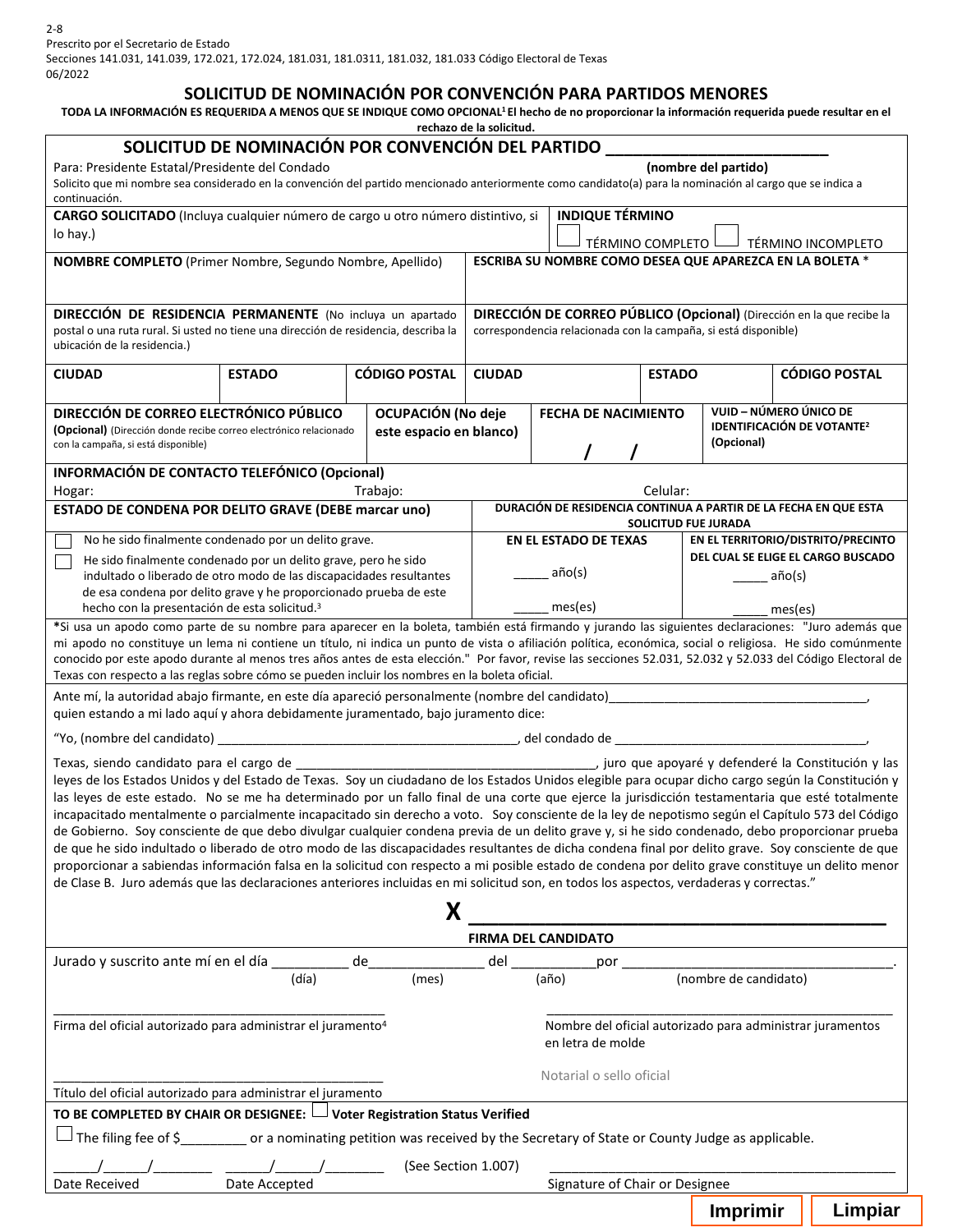#### **SOLICITUD DE NOMINACIÓN POR CONVENCIÓN PARA PARTIDOS MENORES**

# TODA LA INFORMACIÓN ES REQUERIDA A MENOS QUE SE INDIQUE COMO OPCIONAL<sup>1</sup>El hecho de no proporcionar la información requerida puede resultar en el

**rechazo de la solicitud.** 

|                                                                                                                                                                                                                                                                                                                      | SOLICITUD DE NOMINACIÓN POR CONVENCIÓN DEL PARTIDO |                           |                                                                                                                                          |                                                                          |                    |                        |                  |                                    |
|----------------------------------------------------------------------------------------------------------------------------------------------------------------------------------------------------------------------------------------------------------------------------------------------------------------------|----------------------------------------------------|---------------------------|------------------------------------------------------------------------------------------------------------------------------------------|--------------------------------------------------------------------------|--------------------|------------------------|------------------|------------------------------------|
| Para: Presidente Estatal/Presidente del Condado<br>(nombre del partido)                                                                                                                                                                                                                                              |                                                    |                           |                                                                                                                                          |                                                                          |                    |                        |                  |                                    |
| Solicito que mi nombre sea considerado en la convención del partido mencionado anteriormente como candidato(a) para la nominación al cargo que se indica a<br>continuación.                                                                                                                                          |                                                    |                           |                                                                                                                                          |                                                                          |                    |                        |                  |                                    |
| <b>INDIQUE TÉRMINO</b><br>CARGO SOLICITADO (Incluya cualquier número de cargo u otro número distintivo, si                                                                                                                                                                                                           |                                                    |                           |                                                                                                                                          |                                                                          |                    |                        |                  |                                    |
| lo hay.)                                                                                                                                                                                                                                                                                                             |                                                    |                           |                                                                                                                                          |                                                                          | TÉRMINO COMPLETO I |                        |                  | TÉRMINO INCOMPLETO                 |
| <b>NOMBRE COMPLETO</b> (Primer Nombre, Segundo Nombre, Apellido)                                                                                                                                                                                                                                                     |                                                    |                           |                                                                                                                                          | ESCRIBA SU NOMBRE COMO DESEA QUE APAREZCA EN LA BOLETA *                 |                    |                        |                  |                                    |
|                                                                                                                                                                                                                                                                                                                      |                                                    |                           |                                                                                                                                          |                                                                          |                    |                        |                  |                                    |
| <b>DIRECCIÓN DE RESIDENCIA PERMANENTE</b> (No incluya un apartado<br>postal o una ruta rural. Si usted no tiene una dirección de residencia, describa la<br>ubicación de la residencia.)                                                                                                                             |                                                    |                           | DIRECCIÓN DE CORREO PÚBLICO (Opcional) (Dirección en la que recibe la<br>correspondencia relacionada con la campaña, si está disponible) |                                                                          |                    |                        |                  |                                    |
| <b>CIUDAD</b>                                                                                                                                                                                                                                                                                                        | <b>ESTADO</b>                                      | <b>CÓDIGO POSTAL</b>      | <b>CIUDAD</b>                                                                                                                            |                                                                          | <b>ESTADO</b>      |                        |                  | <b>CÓDIGO POSTAL</b>               |
| DIRECCIÓN DE CORREO ELECTRÓNICO PÚBLICO                                                                                                                                                                                                                                                                              |                                                    | <b>OCUPACIÓN (No deje</b> |                                                                                                                                          | <b>FECHA DE NACIMIENTO</b>                                               |                    | VUID – NÚMERO ÚNICO DE |                  |                                    |
| (Opcional) (Dirección donde recibe correo electrónico relacionado<br>con la campaña, si está disponible)                                                                                                                                                                                                             |                                                    | este espacio en blanco)   |                                                                                                                                          | <b>IDENTIFICACIÓN DE VOTANTE<sup>2</sup></b><br>(Opcional)               |                    |                        |                  |                                    |
| INFORMACIÓN DE CONTACTO TELEFÓNICO (Opcional)                                                                                                                                                                                                                                                                        |                                                    |                           |                                                                                                                                          |                                                                          |                    |                        |                  |                                    |
| Hogar:                                                                                                                                                                                                                                                                                                               |                                                    | Trabajo:                  |                                                                                                                                          |                                                                          | Celular:           |                        |                  |                                    |
| ESTADO DE CONDENA POR DELITO GRAVE (DEBE marcar uno)                                                                                                                                                                                                                                                                 |                                                    |                           | DURACIÓN DE RESIDENCIA CONTINUA A PARTIR DE LA FECHA EN QUE ESTA<br>SOLICITUD FUE JURADA                                                 |                                                                          |                    |                        |                  |                                    |
| No he sido finalmente condenado por un delito grave.                                                                                                                                                                                                                                                                 |                                                    |                           |                                                                                                                                          | EN EL ESTADO DE TEXAS                                                    |                    |                        |                  | EN EL TERRITORIO/DISTRITO/PRECINTO |
| He sido finalmente condenado por un delito grave, pero he sido<br>indultado o liberado de otro modo de las discapacidades resultantes                                                                                                                                                                                |                                                    |                           |                                                                                                                                          | año(s)                                                                   |                    |                        | $a\tilde{p}o(s)$ | DEL CUAL SE ELIGE EL CARGO BUSCADO |
| de esa condena por delito grave y he proporcionado prueba de este                                                                                                                                                                                                                                                    |                                                    |                           |                                                                                                                                          |                                                                          |                    |                        |                  |                                    |
| hecho con la presentación de esta solicitud. <sup>3</sup><br>*Si usa un apodo como parte de su nombre para aparecer en la boleta, también está firmando y jurando las siguientes declaraciones: "Juro además que                                                                                                     |                                                    |                           |                                                                                                                                          | mes(es)                                                                  |                    |                        | mes(es)          |                                    |
| mi apodo no constituye un lema ni contiene un título, ni indica un punto de vista o afiliación política, económica, social o religiosa. He sido comúnmente                                                                                                                                                           |                                                    |                           |                                                                                                                                          |                                                                          |                    |                        |                  |                                    |
| conocido por este apodo durante al menos tres años antes de esta elección." Por favor, revise las secciones 52.031, 52.032 y 52.033 del Código Electoral de<br>Texas con respecto a las reglas sobre cómo se pueden incluir los nombres en la boleta oficial.                                                        |                                                    |                           |                                                                                                                                          |                                                                          |                    |                        |                  |                                    |
| Ante mí, la autoridad abajo firmante, en este día apareció personalmente (nombre del candidato) en entre en el composito de la controlla de la controlla de la controlla de la controlla de la controlla de la controlla de la<br>quien estando a mi lado aquí y ahora debidamente juramentado, bajo juramento dice: |                                                    |                           |                                                                                                                                          |                                                                          |                    |                        |                  |                                    |
| "Yo, (nombre del candidato) __                                                                                                                                                                                                                                                                                       |                                                    |                           |                                                                                                                                          |                                                                          |                    |                        |                  |                                    |
| Texas, siendo candidato para el cargo de                                                                                                                                                                                                                                                                             |                                                    |                           |                                                                                                                                          | La Constitución y las juro que apoyaré y defenderé la Constitución y las |                    |                        |                  |                                    |
| leyes de los Estados Unidos y del Estado de Texas. Soy un ciudadano de los Estados Unidos elegible para ocupar dicho cargo según la Constitución y                                                                                                                                                                   |                                                    |                           |                                                                                                                                          |                                                                          |                    |                        |                  |                                    |
| las leyes de este estado. No se me ha determinado por un fallo final de una corte que ejerce la jurisdicción testamentaria que esté totalmente<br>incapacitado mentalmente o parcialmente incapacitado sin derecho a voto. Soy consciente de la ley de nepotismo según el Capítulo 573 del Código                    |                                                    |                           |                                                                                                                                          |                                                                          |                    |                        |                  |                                    |
| de Gobierno. Soy consciente de que debo divulgar cualquier condena previa de un delito grave y, si he sido condenado, debo proporcionar prueba                                                                                                                                                                       |                                                    |                           |                                                                                                                                          |                                                                          |                    |                        |                  |                                    |
| de que he sido indultado o liberado de otro modo de las discapacidades resultantes de dicha condena final por delito grave. Soy consciente de que                                                                                                                                                                    |                                                    |                           |                                                                                                                                          |                                                                          |                    |                        |                  |                                    |
| proporcionar a sabiendas información falsa en la solicitud con respecto a mi posible estado de condena por delito grave constituye un delito menor<br>de Clase B. Juro además que las declaraciones anteriores incluidas en mi solicitud son, en todos los aspectos, verdaderas y correctas."                        |                                                    |                           |                                                                                                                                          |                                                                          |                    |                        |                  |                                    |
|                                                                                                                                                                                                                                                                                                                      |                                                    | X                         |                                                                                                                                          |                                                                          |                    |                        |                  |                                    |
|                                                                                                                                                                                                                                                                                                                      |                                                    |                           |                                                                                                                                          | <b>FIRMA DEL CANDIDATO</b>                                               |                    |                        |                  |                                    |
| Jurado y suscrito ante mí en el día _________ de___                                                                                                                                                                                                                                                                  |                                                    |                           | del                                                                                                                                      | por                                                                      |                    |                        |                  |                                    |
|                                                                                                                                                                                                                                                                                                                      | (día)                                              | (mes)                     |                                                                                                                                          | (año)                                                                    |                    | (nombre de candidato)  |                  |                                    |
|                                                                                                                                                                                                                                                                                                                      |                                                    |                           |                                                                                                                                          |                                                                          |                    |                        |                  |                                    |
| Firma del oficial autorizado para administrar el juramento <sup>4</sup>                                                                                                                                                                                                                                              |                                                    |                           | Nombre del oficial autorizado para administrar juramentos<br>en letra de molde                                                           |                                                                          |                    |                        |                  |                                    |
|                                                                                                                                                                                                                                                                                                                      |                                                    |                           |                                                                                                                                          | Notarial o sello oficial                                                 |                    |                        |                  |                                    |
| Título del oficial autorizado para administrar el juramento                                                                                                                                                                                                                                                          |                                                    |                           |                                                                                                                                          |                                                                          |                    |                        |                  |                                    |
| TO BE COMPLETED BY CHAIR OR DESIGNEE: U Voter Registration Status Verified                                                                                                                                                                                                                                           |                                                    |                           |                                                                                                                                          |                                                                          |                    |                        |                  |                                    |
| $\Box$ The filing fee of \$____________ or a nominating petition was received by the Secretary of State or County Judge as applicable.                                                                                                                                                                               |                                                    |                           |                                                                                                                                          |                                                                          |                    |                        |                  |                                    |
| (See Section 1.007)                                                                                                                                                                                                                                                                                                  |                                                    |                           |                                                                                                                                          |                                                                          |                    |                        |                  |                                    |
| Date Received                                                                                                                                                                                                                                                                                                        | Date Accepted                                      |                           |                                                                                                                                          | Signature of Chair or Designee                                           |                    |                        |                  |                                    |
|                                                                                                                                                                                                                                                                                                                      |                                                    |                           |                                                                                                                                          |                                                                          |                    | Imprimir               |                  | Limpiar                            |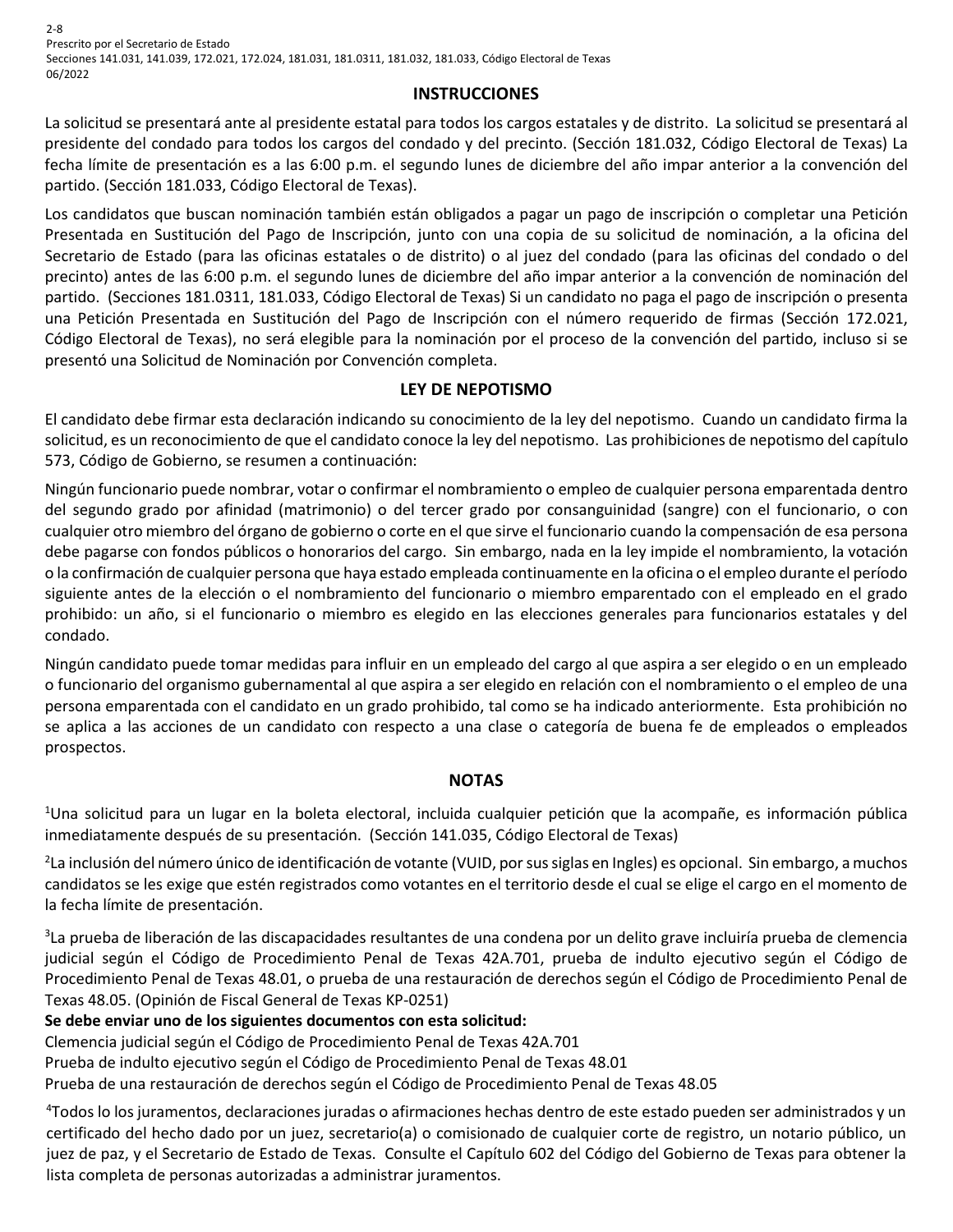2-8 Prescrito por el Secretario de Estado Secciones 141.031, 141.039, 172.021, 172.024, 181.031, 181.0311, 181.032, 181.033, Código Electoral de Texas 06/2022

### **INSTRUCCIONES**

La solicitud se presentará ante al presidente estatal para todos los cargos estatales y de distrito. La solicitud se presentará al presidente del condado para todos los cargos del condado y del precinto. (Sección 181.032, Código Electoral de Texas) La fecha límite de presentación es a las 6:00 p.m. el segundo lunes de diciembre del año impar anterior a la convención del partido. (Sección 181.033, Código Electoral de Texas).

Los candidatos que buscan nominación también están obligados a pagar un pago de inscripción o completar una Petición Presentada en Sustitución del Pago de Inscripción, junto con una copia de su solicitud de nominación, a la oficina del Secretario de Estado (para las oficinas estatales o de distrito) o al juez del condado (para las oficinas del condado o del precinto) antes de las 6:00 p.m. el segundo lunes de diciembre del año impar anterior a la convención de nominación del partido. (Secciones 181.0311, 181.033, Código Electoral de Texas) Si un candidato no paga el pago de inscripción o presenta una Petición Presentada en Sustitución del Pago de Inscripción con el número requerido de firmas (Sección 172.021, Código Electoral de Texas), no será elegible para la nominación por el proceso de la convención del partido, incluso si se presentó una Solicitud de Nominación por Convención completa.

## **LEY DE NEPOTISMO**

El candidato debe firmar esta declaración indicando su conocimiento de la ley del nepotismo. Cuando un candidato firma la solicitud, es un reconocimiento de que el candidato conoce la ley del nepotismo. Las prohibiciones de nepotismo del capítulo 573, Código de Gobierno, se resumen a continuación:

Ningún funcionario puede nombrar, votar o confirmar el nombramiento o empleo de cualquier persona emparentada dentro del segundo grado por afinidad (matrimonio) o del tercer grado por consanguinidad (sangre) con el funcionario, o con cualquier otro miembro del órgano de gobierno o corte en el que sirve el funcionario cuando la compensación de esa persona debe pagarse con fondos públicos o honorarios del cargo. Sin embargo, nada en la ley impide el nombramiento, la votación o la confirmación de cualquier persona que haya estado empleada continuamente en la oficina o el empleo durante el período siguiente antes de la elección o el nombramiento del funcionario o miembro emparentado con el empleado en el grado prohibido: un año, si el funcionario o miembro es elegido en las elecciones generales para funcionarios estatales y del condado.

Ningún candidato puede tomar medidas para influir en un empleado del cargo al que aspira a ser elegido o en un empleado o funcionario del organismo gubernamental al que aspira a ser elegido en relación con el nombramiento o el empleo de una persona emparentada con el candidato en un grado prohibido, tal como se ha indicado anteriormente. Esta prohibición no se aplica a las acciones de un candidato con respecto a una clase o categoría de buena fe de empleados o empleados prospectos.

#### **NOTAS**

<sup>1</sup>Una solicitud para un lugar en la boleta electoral, incluida cualquier petición que la acompañe, es información pública inmediatamente después de su presentación. (Sección 141.035, Código Electoral de Texas)

2 La inclusión del número único de identificación de votante (VUID, por sus siglas en Ingles) es opcional. Sin embargo, a muchos candidatos se les exige que estén registrados como votantes en el territorio desde el cual se elige el cargo en el momento de la fecha límite de presentación.

<sup>3</sup>La prueba de liberación de las discapacidades resultantes de una condena por un delito grave incluiría prueba de clemencia judicial según el Código de Procedimiento Penal de Texas 42A.701, prueba de indulto ejecutivo según el Código de Procedimiento Penal de Texas 48.01, o prueba de una restauración de derechos según el Código de Procedimiento Penal de Texas 48.05. (Opinión de Fiscal General de Texas KP-0251)

**Se debe enviar uno de los siguientes documentos con esta solicitud:** 

Clemencia judicial según el Código de Procedimiento Penal de Texas 42A.701

Prueba de indulto ejecutivo según el Código de Procedimiento Penal de Texas 48.01

Prueba de una restauración de derechos según el Código de Procedimiento Penal de Texas 48.05

4 Todos lo los juramentos, declaraciones juradas o afirmaciones hechas dentro de este estado pueden ser administrados y un certificado del hecho dado por un juez, secretario(a) o comisionado de cualquier corte de registro, un notario público, un juez de paz, y el Secretario de Estado de Texas. Consulte el Capítulo 602 del Código del Gobierno de Texas para obtener la lista completa de personas autorizadas a administrar juramentos.